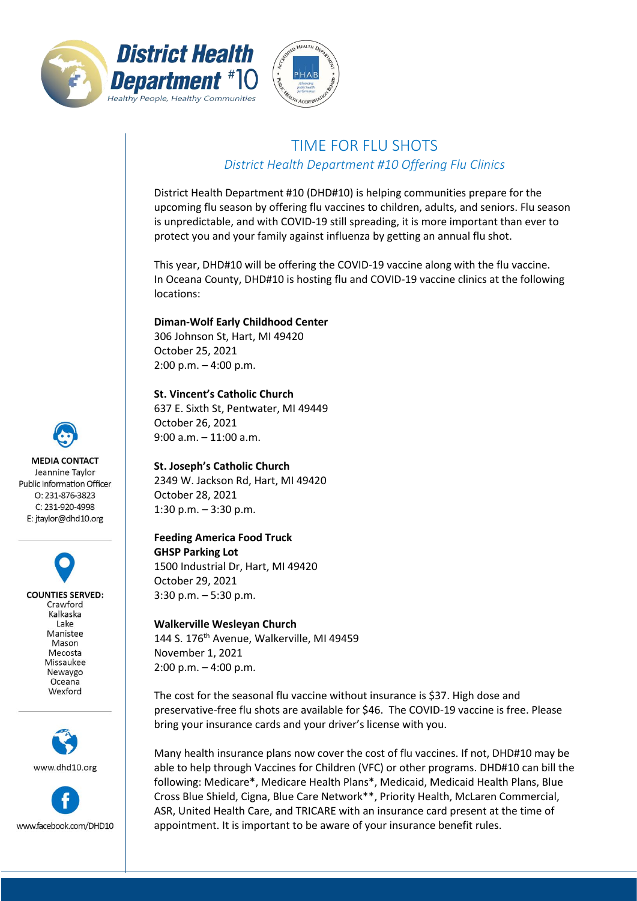



## TIME FOR FLU SHOTS *District Health Department #10 Offering Flu Clinics*

District Health Department #10 (DHD#10) is helping communities prepare for the upcoming flu season by offering flu vaccines to children, adults, and seniors. Flu season is unpredictable, and with COVID-19 still spreading, it is more important than ever to protect you and your family against influenza by getting an annual flu shot.

This year, DHD#10 will be offering the COVID-19 vaccine along with the flu vaccine. In Oceana County, DHD#10 is hosting flu and COVID-19 vaccine clinics at the following locations:

**Diman-Wolf Early Childhood Center**

306 Johnson St, Hart, MI 49420 October 25, 2021 2:00 p.m. – 4:00 p.m.

**St. Vincent's Catholic Church** 637 E. Sixth St, Pentwater, MI 49449 October 26, 2021 9:00 a.m. – 11:00 a.m.

**St. Joseph's Catholic Church** 2349 W. Jackson Rd, Hart, MI 49420 October 28, 2021 1:30 p.m. – 3:30 p.m.

**Feeding America Food Truck GHSP Parking Lot** 1500 Industrial Dr, Hart, MI 49420 October 29, 2021 3:30 p.m. – 5:30 p.m.

**Walkerville Wesleyan Church** 144 S. 176<sup>th</sup> Avenue, Walkerville, MI 49459 November 1, 2021 2:00 p.m. – 4:00 p.m.

The cost for the seasonal flu vaccine without insurance is \$37. High dose and preservative-free flu shots are available for \$46. The COVID-19 vaccine is free. Please bring your insurance cards and your driver's license with you.

Many health insurance plans now cover the cost of flu vaccines. If not, DHD#10 may be able to help through Vaccines for Children (VFC) or other programs. DHD#10 can bill the following: Medicare\*, Medicare Health Plans\*, Medicaid, Medicaid Health Plans, Blue Cross Blue Shield, Cigna, Blue Care Network\*\*, Priority Health, McLaren Commercial, ASR, United Health Care, and TRICARE with an insurance card present at the time of appointment. It is important to be aware of your insurance benefit rules.



**COUNTIES SERVED:** Crawford Kalkaska Lake Manistee Mason Merosta Missaukee Newaygo Oceana Wexford